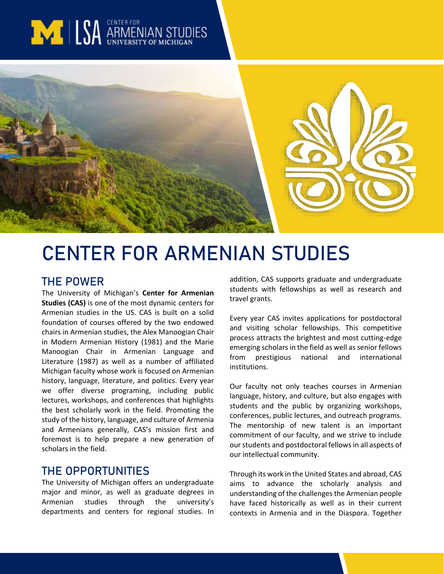# **MILLSA ARMENIAN STUD**



# **CENTER FOR ARMENIAN STUDIES**

# **THE POWER**

The University of Michigan's **Center for Armenian Studies (CAS)** is one of the most dynamic centers for Armenian studies in the US. CAS is built on a solid foundation of courses offered by the two endowed chairs in Armenian studies, the Alex Manoogian Chair in Modern Armenian History (1981) and the Marie Manoogian Chair in Armenian Language and Literature (1987) as well as a number of affiliated Michigan faculty whose work is focused on Armenian history, language, literature, and politics. Every year we offer diverse programing, including public lectures, workshops, and conferences that highlights the best scholarly work in the field. Promoting the study of the history, language, and culture of Armenia and Armenians generally, CAS's mission first and foremost is to help prepare a new generation of scholars in the field.

# **THE OPPORTUNITIES**

The University of Michigan offers an undergraduate major and minor, as well as graduate degrees in Armenian studies through the university's departments and centers for regional studies. In addition, CAS supports graduate and undergraduate students with fellowships as well as research and travel grants.

Every year CAS invites applications for postdoctoral and visiting scholar fellowships. This competitive process attracts the brightest and most cutting-edge emerging scholars in the field as well as senior fellows from prestigious national and international institutions.

Our faculty not only teaches courses in Armenian language, history, and culture, but also engages with students and the public by organizing workshops, conferences, public lectures, and outreach programs. The mentorship of new talent is an important commitment of our faculty, and we strive to include our students and postdoctoral fellows in all aspects of our intellectual community.

Through its work in the United States and abroad, CAS aims to advance the scholarly analysis and understanding of the challenges the Armenian people have faced historically as well as in their current contexts in Armenia and in the Diaspora. Together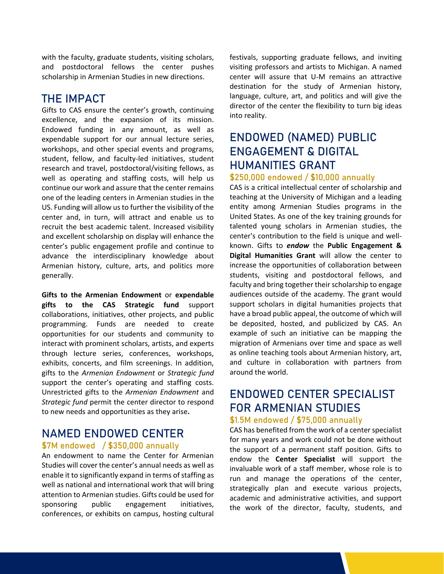with the faculty, graduate students, visiting scholars, and postdoctoral fellows the center pushes scholarship in Armenian Studies in new directions.

# **THE IMPACT**

Gifts to CAS ensure the center's growth, continuing excellence, and the expansion of its mission. Endowed funding in any amount, as well as expendable support for our annual lecture series, workshops, and other special events and programs, student, fellow, and faculty-led initiatives, student research and travel, postdoctoral/visiting fellows, as well as operating and staffing costs, will help us continue our work and assure that the center remains one of the leading centers in Armenian studies in the US. Funding will allow us to further the visibility of the center and, in turn, will attract and enable us to recruit the best academic talent. Increased visibility and excellent scholarship on display will enhance the center's public engagement profile and continue to advance the interdisciplinary knowledge about Armenian history, culture, arts, and politics more generally.

**Gifts to the Armenian Endowment** or **expendable gifts to the CAS Strategic fund** support collaborations, initiatives, other projects, and public programming. Funds are needed to create opportunities for our students and community to interact with prominent scholars, artists, and experts through lecture series, conferences, workshops, exhibits, concerts, and film screenings. In addition, gifts to the *Armenian Endowment* or *Strategic fund* support the center's operating and staffing costs. Unrestricted gifts to the *Armenian Endowment* and *Strategic fund* permit the center director to respond to new needs and opportunities as they arise**.**

# **NAMED ENDOWED CENTER**

#### **\$7M endowed / \$350,000 annually**

An endowment to name the Center for Armenian Studies will cover the center's annual needs as well as enable it to significantly expand in terms of staffing as well as national and international work that will bring attention to Armenian studies. Gifts could be used for sponsoring public engagement initiatives, conferences, or exhibits on campus, hosting cultural

festivals, supporting graduate fellows, and inviting visiting professors and artists to Michigan. A named center will assure that U-M remains an attractive destination for the study of Armenian history, language, culture, art, and politics and will give the director of the center the flexibility to turn big ideas into reality.

# **ENDOWED (NAMED) PUBLIC ENGAGEMENT & DIGITAL HUMANITIES GRANT**

#### **\$250,000 endowed / \$10,000 annually**

CAS is a critical intellectual center of scholarship and teaching at the University of Michigan and a leading entity among Armenian Studies programs in the United States. As one of the key training grounds for talented young scholars in Armenian studies, the center's contribution to the field is unique and wellknown. Gifts to *endow* the **Public Engagement & Digital Humanities Grant** will allow the center to increase the opportunities of collaboration between students, visiting and postdoctoral fellows, and faculty and bring together their scholarship to engage audiences outside of the academy. The grant would support scholars in digital humanities projects that have a broad public appeal, the outcome of which will be deposited, hosted, and publicized by CAS. An example of such an initiative can be mapping the migration of Armenians over time and space as well as online teaching tools about Armenian history, art, and culture in collaboration with partners from around the world.

# **ENDOWED CENTER SPECIALIST FOR ARMENIAN STUDIES**

#### **\$1.5M endowed / \$75,000 annually**

CAS has benefited from the work of a center specialist for many years and work could not be done without the support of a permanent staff position. Gifts to endow the **Center Specialist** will support the invaluable work of a staff member, whose role is to run and manage the operations of the center, strategically plan and execute various projects, academic and administrative activities, and support the work of the director, faculty, students, and